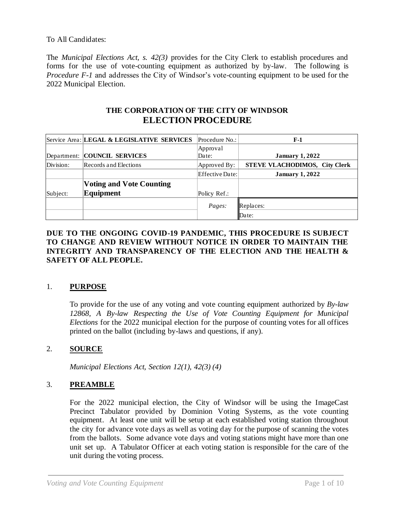### To All Candidates:

The *Municipal Elections Act, s. 42(3)* provides for the City Clerk to establish procedures and forms for the use of vote-counting equipment as authorized by by-law. The following is *Procedure F-1* and addresses the City of Windsor's vote-counting equipment to be used for the 2022 Municipal Election.

# **THE CORPORATION OF THE CITY OF WINDSOR ELECTION PROCEDURE**

|           | Service Area: LEGAL & LEGISLATIVE SERVICES | Procedure No.:         | $F-1$                         |
|-----------|--------------------------------------------|------------------------|-------------------------------|
|           |                                            | Approval               |                               |
|           | Department: COUNCIL SERVICES               | Date:                  | <b>January 1, 2022</b>        |
| Division: | Records and Elections                      | Approved By:           | STEVE VLACHODIMOS, City Clerk |
|           |                                            | <b>Effective Date:</b> | <b>January 1, 2022</b>        |
|           | <b>Voting and Vote Counting</b>            |                        |                               |
| Subject:  | Equipment                                  | Policy Ref.:           |                               |
|           |                                            | Pages:                 | Replaces:                     |
|           |                                            |                        | $\Delta$ Date:                |

### **DUE TO THE ONGOING COVID-19 PANDEMIC, THIS PROCEDURE IS SUBJECT TO CHANGE AND REVIEW WITHOUT NOTICE IN ORDER TO MAINTAIN THE INTEGRITY AND TRANSPARENCY OF THE ELECTION AND THE HEALTH & SAFETY OF ALL PEOPLE.**

### 1. **PURPOSE**

To provide for the use of any voting and vote counting equipment authorized by *By-law 12868, A By-law Respecting the Use of Vote Counting Equipment for Municipal Elections* for the 2022 municipal election for the purpose of counting votes for all offices printed on the ballot (including by-laws and questions, if any).

### 2. **SOURCE**

*Municipal Elections Act, Section 12(1), 42(3) (4)*

### 3. **PREAMBLE**

For the 2022 municipal election, the City of Windsor will be using the ImageCast Precinct Tabulator provided by Dominion Voting Systems, as the vote counting equipment. At least one unit will be setup at each established voting station throughout the city for advance vote days as well as voting day for the purpose of scanning the votes from the ballots. Some advance vote days and voting stations might have more than one unit set up. A Tabulator Officer at each voting station is responsible for the care of the unit during the voting process.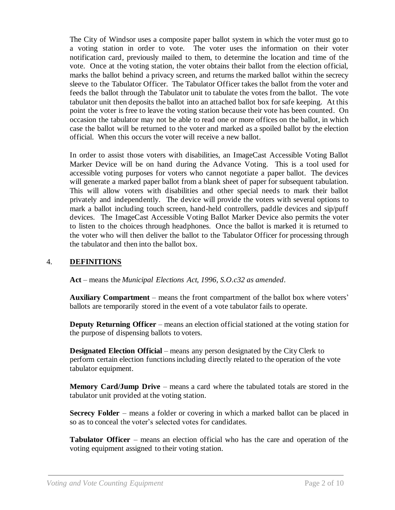The City of Windsor uses a composite paper ballot system in which the voter must go to a voting station in order to vote. The voter uses the information on their voter notification card, previously mailed to them, to determine the location and time of the vote. Once at the voting station, the voter obtains their ballot from the election official, marks the ballot behind a privacy screen, and returns the marked ballot within the secrecy sleeve to the Tabulator Officer. The Tabulator Officer takes the ballot from the voter and feeds the ballot through the Tabulator unit to tabulate the votes from the ballot. The vote tabulator unit then deposits the ballot into an attached ballot box for safe keeping. At this point the voter is free to leave the voting station because their vote has been counted. On occasion the tabulator may not be able to read one or more offices on the ballot, in which case the ballot will be returned to the voter and marked as a spoiled ballot by the election official. When this occurs the voter will receive a new ballot.

In order to assist those voters with disabilities, an ImageCast Accessible Voting Ballot Marker Device will be on hand during the Advance Voting. This is a tool used for accessible voting purposes for voters who cannot negotiate a paper ballot. The devices will generate a marked paper ballot from a blank sheet of paper for subsequent tabulation. This will allow voters with disabilities and other special needs to mark their ballot privately and independently. The device will provide the voters with several options to mark a ballot including touch screen, hand-held controllers, paddle devices and sip/puff devices. The ImageCast Accessible Voting Ballot Marker Device also permits the voter to listen to the choices through headphones. Once the ballot is marked it is returned to the voter who will then deliver the ballot to the Tabulator Officer for processing through the tabulator and then into the ballot box.

### 4. **DEFINITIONS**

**Act** – means the *Municipal Elections Act, 1996, S.O.c32 as amended*.

**Auxiliary Compartment** – means the front compartment of the ballot box where voters' ballots are temporarily stored in the event of a vote tabulator fails to operate.

**Deputy Returning Officer** – means an election official stationed at the voting station for the purpose of dispensing ballots to voters.

**Designated Election Official** – means any person designated by the City Clerk to perform certain election functions including directly related to the operation of the vote tabulator equipment.

**Memory Card/Jump Drive** – means a card where the tabulated totals are stored in the tabulator unit provided at the voting station.

**Secrecy Folder** – means a folder or covering in which a marked ballot can be placed in so as to conceal the voter's selected votes for candidates.

**Tabulator Officer** – means an election official who has the care and operation of the voting equipment assigned to their voting station.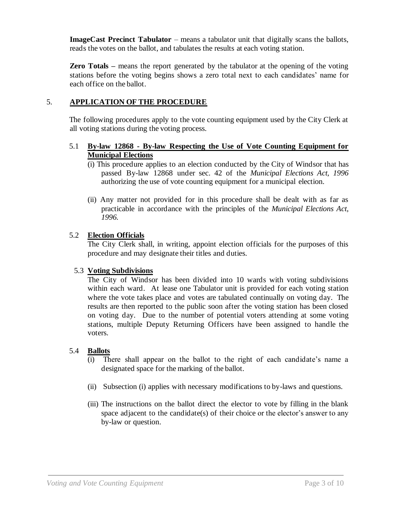**ImageCast Precinct Tabulator** – means a tabulator unit that digitally scans the ballots, reads the votes on the ballot, and tabulates the results at each voting station.

**Zero Totals** – means the report generated by the tabulator at the opening of the voting stations before the voting begins shows a zero total next to each candidates' name for each office on the ballot.

## 5. **APPLICATION OF THE PROCEDURE**

The following procedures apply to the vote counting equipment used by the City Clerk at all voting stations during the voting process.

### 5.1 **By-law 12868 - By-law Respecting the Use of Vote Counting Equipment for Municipal Elections**

- (i) This procedure applies to an election conducted by the City of Windsor that has passed By-law 12868 under sec. 42 of the *Municipal Elections Act, 1996* authorizing the use of vote counting equipment for a municipal election.
- (ii) Any matter not provided for in this procedure shall be dealt with as far as practicable in accordance with the principles of the *Municipal Elections Act*, *1996.*

### 5.2 **Election Officials**

The City Clerk shall, in writing, appoint election officials for the purposes of this procedure and may designate their titles and duties.

### 5.3 **Voting Subdivisions**

The City of Windsor has been divided into 10 wards with voting subdivisions within each ward. At lease one Tabulator unit is provided for each voting station where the vote takes place and votes are tabulated continually on voting day. The results are then reported to the public soon after the voting station has been closed on voting day. Due to the number of potential voters attending at some voting stations, multiple Deputy Returning Officers have been assigned to handle the voters.

#### 5.4 **Ballots**

- (i) There shall appear on the ballot to the right of each candidate's name a designated space for the marking of the ballot.
- (ii) Subsection (i) applies with necessary modifications to by-laws and questions.
- (iii) The instructions on the ballot direct the elector to vote by filling in the blank space adjacent to the candidate(s) of their choice or the elector's answer to any by-law or question.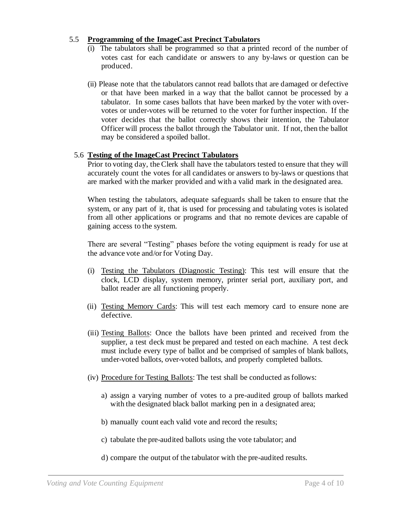### 5.5 **Programming of the ImageCast Precinct Tabulators**

- (i) The tabulators shall be programmed so that a printed record of the number of votes cast for each candidate or answers to any by-laws or question can be produced.
- (ii) Please note that the tabulators cannot read ballots that are damaged or defective or that have been marked in a way that the ballot cannot be processed by a tabulator. In some cases ballots that have been marked by the voter with overvotes or under-votes will be returned to the voter for further inspection. If the voter decides that the ballot correctly shows their intention, the Tabulator Officer will process the ballot through the Tabulator unit. If not, then the ballot may be considered a spoiled ballot.

#### 5.6 **Testing of the ImageCast Precinct Tabulators**

Prior to voting day, the Clerk shall have the tabulators tested to ensure that they will accurately count the votes for all candidates or answers to by-laws or questions that are marked with the marker provided and with a valid mark in the designated area.

When testing the tabulators, adequate safeguards shall be taken to ensure that the system, or any part of it, that is used for processing and tabulating votes is isolated from all other applications or programs and that no remote devices are capable of gaining access to the system.

There are several "Testing" phases before the voting equipment is ready for use at the advance vote and/or for Voting Day.

- (i) Testing the Tabulators (Diagnostic Testing): This test will ensure that the clock, LCD display, system memory, printer serial port, auxiliary port, and ballot reader are all functioning properly.
- (ii) Testing Memory Cards: This will test each memory card to ensure none are defective.
- (iii) Testing Ballots: Once the ballots have been printed and received from the supplier, a test deck must be prepared and tested on each machine. A test deck must include every type of ballot and be comprised of samples of blank ballots, under-voted ballots, over-voted ballots, and properly completed ballots.
- (iv) Procedure for Testing Ballots: The test shall be conducted as follows:
	- a) assign a varying number of votes to a pre-audited group of ballots marked with the designated black ballot marking pen in a designated area;
	- b) manually count each valid vote and record the results;
	- c) tabulate the pre-audited ballots using the vote tabulator; and
	- d) compare the output of the tabulator with the pre-audited results.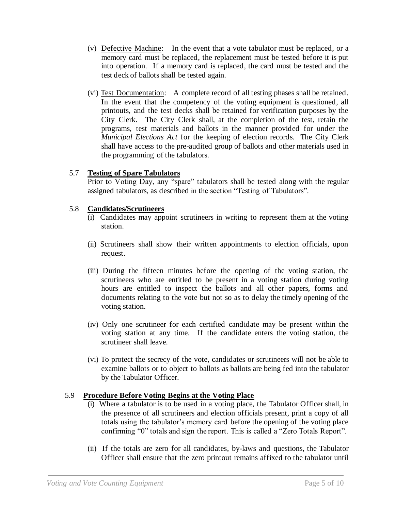- (v) Defective Machine: In the event that a vote tabulator must be replaced, or a memory card must be replaced, the replacement must be tested before it is put into operation. If a memory card is replaced, the card must be tested and the test deck of ballots shall be tested again.
- (vi) Test Documentation: A complete record of all testing phases shall be retained. In the event that the competency of the voting equipment is questioned, all printouts, and the test decks shall be retained for verification purposes by the City Clerk. The City Clerk shall, at the completion of the test, retain the programs, test materials and ballots in the manner provided for under the *Municipal Elections Act* for the keeping of election records. The City Clerk shall have access to the pre-audited group of ballots and other materials used in the programming of the tabulators.

### 5.7 **Testing of Spare Tabulators**

Prior to Voting Day, any "spare" tabulators shall be tested along with the regular assigned tabulators, as described in the section "Testing of Tabulators".

### 5.8 **Candidates/Scrutineers**

- (i) Candidates may appoint scrutineers in writing to represent them at the voting station.
- (ii) Scrutineers shall show their written appointments to election officials, upon request.
- (iii) During the fifteen minutes before the opening of the voting station, the scrutineers who are entitled to be present in a voting station during voting hours are entitled to inspect the ballots and all other papers, forms and documents relating to the vote but not so as to delay the timely opening of the voting station.
- (iv) Only one scrutineer for each certified candidate may be present within the voting station at any time. If the candidate enters the voting station, the scrutineer shall leave.
- (vi) To protect the secrecy of the vote, candidates or scrutineers will not be able to examine ballots or to object to ballots as ballots are being fed into the tabulator by the Tabulator Officer.

# 5.9 **Procedure Before Voting Begins at the Voting Place**

- (i) Where a tabulator is to be used in a voting place, the Tabulator Officer shall, in the presence of all scrutineers and election officials present, print a copy of all totals using the tabulator's memory card before the opening of the voting place confirming "0" totals and sign the report. This is called a "Zero Totals Report".
- (ii) If the totals are zero for all candidates, by-laws and questions, the Tabulator Officer shall ensure that the zero printout remains affixed to the tabulator until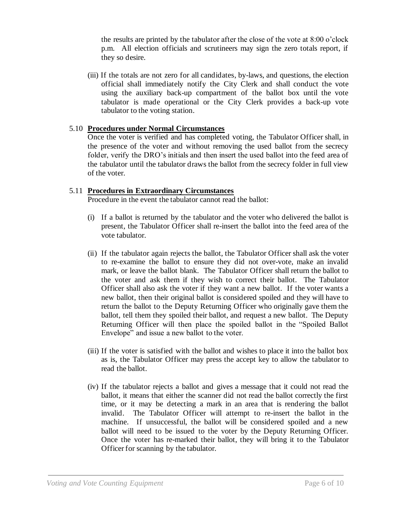the results are printed by the tabulator after the close of the vote at 8:00 o'clock p.m. All election officials and scrutineers may sign the zero totals report, if they so desire.

(iii) If the totals are not zero for all candidates, by-laws, and questions, the election official shall immediately notify the City Clerk and shall conduct the vote using the auxiliary back-up compartment of the ballot box until the vote tabulator is made operational or the City Clerk provides a back-up vote tabulator to the voting station.

### 5.10 **Procedures under Normal Circumstances**

Once the voter is verified and has completed voting, the Tabulator Officer shall, in the presence of the voter and without removing the used ballot from the secrecy folder, verify the DRO's initials and then insert the used ballot into the feed area of the tabulator until the tabulator draws the ballot from the secrecy folder in full view of the voter.

## 5.11 **Procedures in Extraordinary Circumstances**

Procedure in the event the tabulator cannot read the ballot:

- (i) If a ballot is returned by the tabulator and the voter who delivered the ballot is present, the Tabulator Officer shall re-insert the ballot into the feed area of the vote tabulator.
- (ii) If the tabulator again rejects the ballot, the Tabulator Officer shall ask the voter to re-examine the ballot to ensure they did not over-vote, make an invalid mark, or leave the ballot blank. The Tabulator Officer shall return the ballot to the voter and ask them if they wish to correct their ballot. The Tabulator Officer shall also ask the voter if they want a new ballot. If the voter wants a new ballot, then their original ballot is considered spoiled and they will have to return the ballot to the Deputy Returning Officer who originally gave them the ballot, tell them they spoiled their ballot, and request a new ballot. The Deputy Returning Officer will then place the spoiled ballot in the "Spoiled Ballot Envelope" and issue a new ballot to the voter.
- (iii) If the voter is satisfied with the ballot and wishes to place it into the ballot box as is, the Tabulator Officer may press the accept key to allow the tabulator to read the ballot.
- (iv) If the tabulator rejects a ballot and gives a message that it could not read the ballot, it means that either the scanner did not read the ballot correctly the first time, or it may be detecting a mark in an area that is rendering the ballot invalid. The Tabulator Officer will attempt to re-insert the ballot in the machine. If unsuccessful, the ballot will be considered spoiled and a new ballot will need to be issued to the voter by the Deputy Returning Officer. Once the voter has re-marked their ballot, they will bring it to the Tabulator Officer for scanning by the tabulator.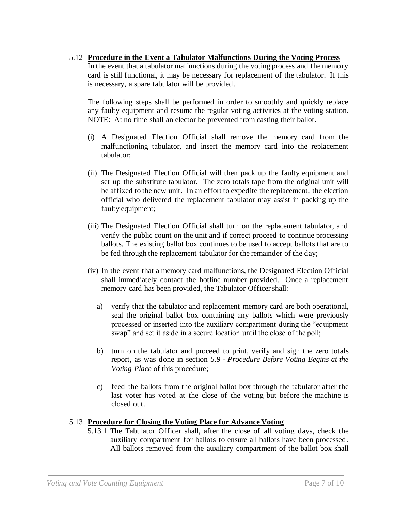### 5.12 **Procedure in the Event a Tabulator Malfunctions During the Voting Process**

In the event that a tabulator malfunctions during the voting process and the memory card is still functional, it may be necessary for replacement of the tabulator. If this is necessary, a spare tabulator will be provided.

The following steps shall be performed in order to smoothly and quickly replace any faulty equipment and resume the regular voting activities at the voting station. NOTE: At no time shall an elector be prevented from casting their ballot.

- (i) A Designated Election Official shall remove the memory card from the malfunctioning tabulator, and insert the memory card into the replacement tabulator;
- (ii) The Designated Election Official will then pack up the faulty equipment and set up the substitute tabulator. The zero totals tape from the original unit will be affixed to the new unit. In an effort to expedite the replacement, the election official who delivered the replacement tabulator may assist in packing up the faulty equipment;
- (iii) The Designated Election Official shall turn on the replacement tabulator, and verify the public count on the unit and if correct proceed to continue processing ballots. The existing ballot box continues to be used to accept ballots that are to be fed through the replacement tabulator for the remainder of the day;
- (iv) In the event that a memory card malfunctions, the Designated Election Official shall immediately contact the hotline number provided. Once a replacement memory card has been provided, the Tabulator Officer shall:
	- a) verify that the tabulator and replacement memory card are both operational, seal the original ballot box containing any ballots which were previously processed or inserted into the auxiliary compartment during the "equipment swap" and set it aside in a secure location until the close of the poll;
	- b) turn on the tabulator and proceed to print, verify and sign the zero totals report, as was done in section *5.9 - Procedure Before Voting Begins at the Voting Place* of this procedure;
	- c) feed the ballots from the original ballot box through the tabulator after the last voter has voted at the close of the voting but before the machine is closed out.

### 5.13 **Procedure for Closing the Voting Place for Advance Voting**

5.13.1 The Tabulator Officer shall, after the close of all voting days, check the auxiliary compartment for ballots to ensure all ballots have been processed. All ballots removed from the auxiliary compartment of the ballot box shall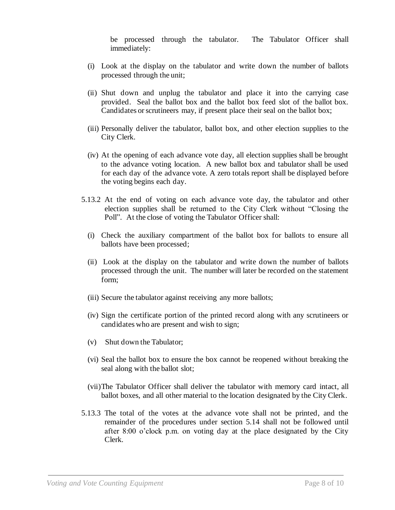be processed through the tabulator. The Tabulator Officer shall immediately:

- (i) Look at the display on the tabulator and write down the number of ballots processed through the unit;
- (ii) Shut down and unplug the tabulator and place it into the carrying case provided. Seal the ballot box and the ballot box feed slot of the ballot box. Candidates or scrutineers may, if present place their seal on the ballot box;
- (iii) Personally deliver the tabulator, ballot box, and other election supplies to the City Clerk.
- (iv) At the opening of each advance vote day, all election supplies shall be brought to the advance voting location. A new ballot box and tabulator shall be used for each day of the advance vote. A zero totals report shall be displayed before the voting begins each day.
- 5.13.2 At the end of voting on each advance vote day, the tabulator and other election supplies shall be returned to the City Clerk without "Closing the Poll". At the close of voting the Tabulator Officer shall:
	- (i) Check the auxiliary compartment of the ballot box for ballots to ensure all ballots have been processed;
	- (ii) Look at the display on the tabulator and write down the number of ballots processed through the unit. The number will later be recorded on the statement form;
	- (iii) Secure the tabulator against receiving any more ballots;
	- (iv) Sign the certificate portion of the printed record along with any scrutineers or candidates who are present and wish to sign;
	- (v) Shut down the Tabulator;
	- (vi) Seal the ballot box to ensure the box cannot be reopened without breaking the seal along with the ballot slot;
	- (vii)The Tabulator Officer shall deliver the tabulator with memory card intact, all ballot boxes, and all other material to the location designated by the City Clerk.
- 5.13.3 The total of the votes at the advance vote shall not be printed, and the remainder of the procedures under section 5.14 shall not be followed until after 8:00 o'clock p.m. on voting day at the place designated by the City Clerk.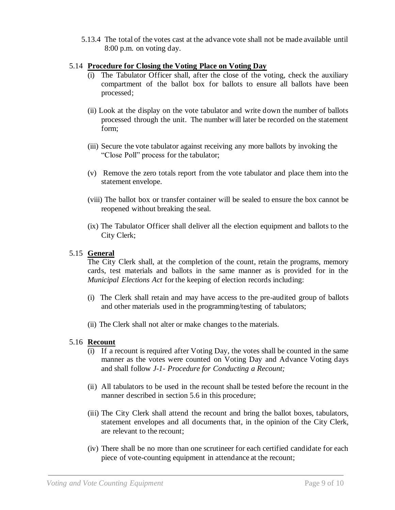5.13.4 The total of the votes cast at the advance vote shall not be made available until 8:00 p.m. on voting day.

### 5.14 **Procedure for Closing the Voting Place on Voting Day**

- The Tabulator Officer shall, after the close of the voting, check the auxiliary compartment of the ballot box for ballots to ensure all ballots have been processed;
- (ii) Look at the display on the vote tabulator and write down the number of ballots processed through the unit. The number will later be recorded on the statement form;
- (iii) Secure the vote tabulator against receiving any more ballots by invoking the "Close Poll" process for the tabulator;
- (v) Remove the zero totals report from the vote tabulator and place them into the statement envelope.
- (viii) The ballot box or transfer container will be sealed to ensure the box cannot be reopened without breaking the seal.
- (ix) The Tabulator Officer shall deliver all the election equipment and ballots to the City Clerk;

## 5.15 **General**

The City Clerk shall, at the completion of the count, retain the programs, memory cards, test materials and ballots in the same manner as is provided for in the *Municipal Elections Act* for the keeping of election records including:

- (i) The Clerk shall retain and may have access to the pre-audited group of ballots and other materials used in the programming/testing of tabulators;
- (ii) The Clerk shall not alter or make changes to the materials.

### 5.16 **Recount**

- (i) If a recount is required after Voting Day, the votes shall be counted in the same manner as the votes were counted on Voting Day and Advance Voting days and shall follow *J-1- Procedure for Conducting a Recount;*
- (ii) All tabulators to be used in the recount shall be tested before the recount in the manner described in section 5.6 in this procedure;
- (iii) The City Clerk shall attend the recount and bring the ballot boxes, tabulators, statement envelopes and all documents that, in the opinion of the City Clerk, are relevant to the recount;
- (iv) There shall be no more than one scrutineer for each certified candidate for each piece of vote-counting equipment in attendance at the recount;